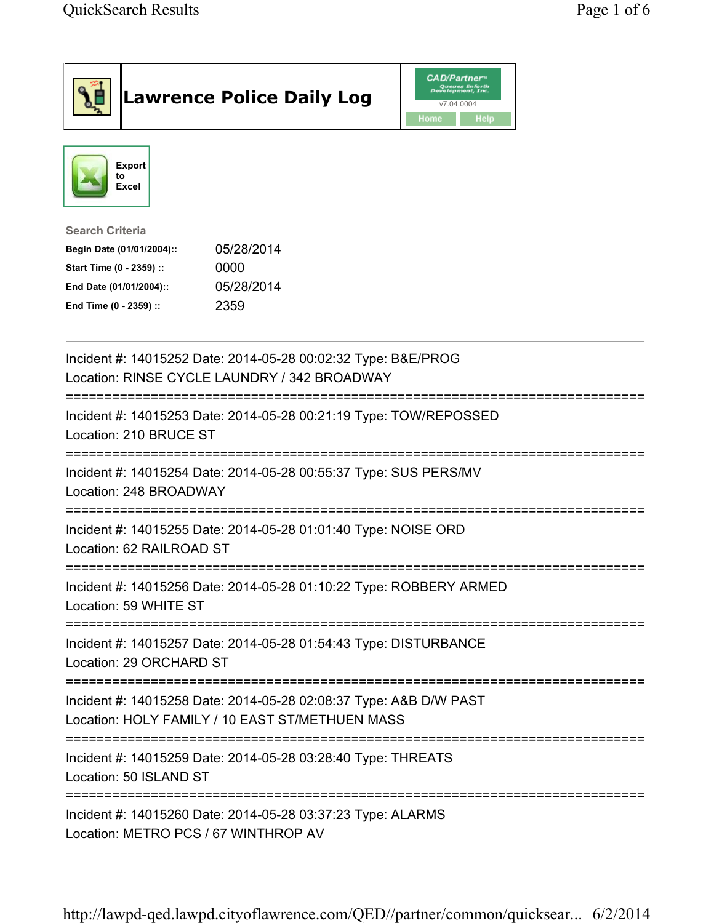| <b>Lawrence Police Daily Log</b>                                                                                                                                                 | <b>CAD/Partner</b> "<br>Queues Enforth<br>Development, Inc.<br>v7.04.0004<br>Home<br><b>Help</b> |
|----------------------------------------------------------------------------------------------------------------------------------------------------------------------------------|--------------------------------------------------------------------------------------------------|
| <b>Export</b><br>to<br>Excel                                                                                                                                                     |                                                                                                  |
| <b>Search Criteria</b><br>05/28/2014<br>Begin Date (01/01/2004)::<br>Start Time (0 - 2359) ::<br>0000<br>05/28/2014<br>End Date (01/01/2004)::<br>2359<br>End Time (0 - 2359) :: |                                                                                                  |
| Incident #: 14015252 Date: 2014-05-28 00:02:32 Type: B&E/PROG<br>Location: RINSE CYCLE LAUNDRY / 342 BROADWAY                                                                    |                                                                                                  |
| Incident #: 14015253 Date: 2014-05-28 00:21:19 Type: TOW/REPOSSED<br>Location: 210 BRUCE ST                                                                                      |                                                                                                  |
| Incident #: 14015254 Date: 2014-05-28 00:55:37 Type: SUS PERS/MV<br>Location: 248 BROADWAY                                                                                       |                                                                                                  |
| Incident #: 14015255 Date: 2014-05-28 01:01:40 Type: NOISE ORD<br>Location: 62 RAILROAD ST                                                                                       |                                                                                                  |
| Incident #: 14015256 Date: 2014-05-28 01:10:22 Type: ROBBERY ARMED<br>Location: 59 WHITE ST                                                                                      |                                                                                                  |
| Incident #: 14015257 Date: 2014-05-28 01:54:43 Type: DISTURBANCE<br>Location: 29 ORCHARD ST                                                                                      |                                                                                                  |
| Incident #: 14015258 Date: 2014-05-28 02:08:37 Type: A&B D/W PAST<br>Location: HOLY FAMILY / 10 EAST ST/METHUEN MASS                                                             |                                                                                                  |
| Incident #: 14015259 Date: 2014-05-28 03:28:40 Type: THREATS<br>Location: 50 ISLAND ST                                                                                           |                                                                                                  |
| Incident #: 14015260 Date: 2014-05-28 03:37:23 Type: ALARMS<br>Location: METRO PCS / 67 WINTHROP AV                                                                              |                                                                                                  |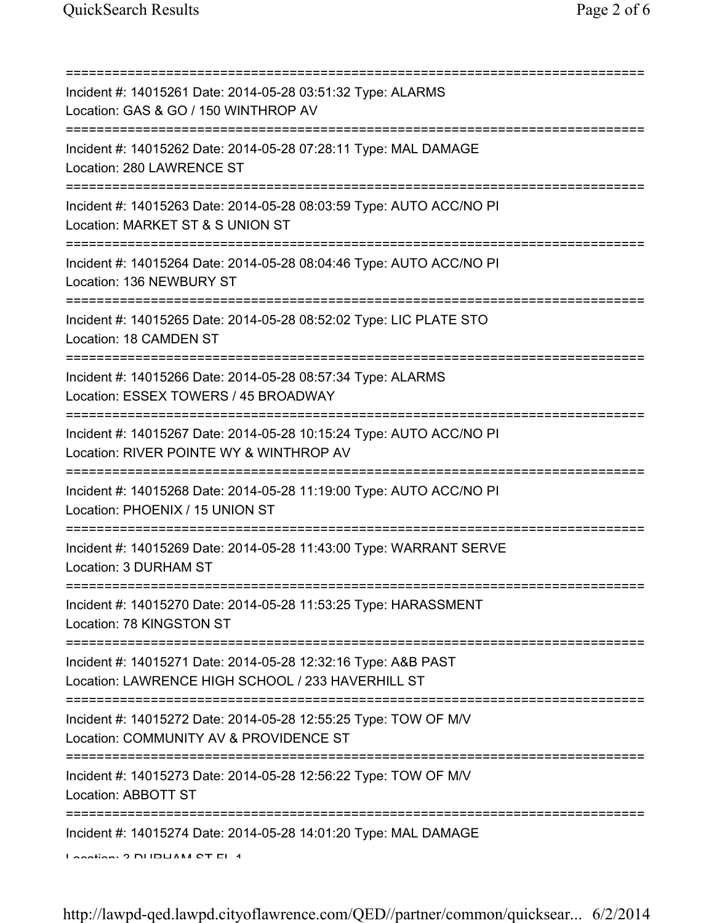| Incident #: 14015261 Date: 2014-05-28 03:51:32 Type: ALARMS<br>Location: GAS & GO / 150 WINTHROP AV                                                      |
|----------------------------------------------------------------------------------------------------------------------------------------------------------|
| Incident #: 14015262 Date: 2014-05-28 07:28:11 Type: MAL DAMAGE<br>Location: 280 LAWRENCE ST                                                             |
| Incident #: 14015263 Date: 2014-05-28 08:03:59 Type: AUTO ACC/NO PI<br>Location: MARKET ST & S UNION ST<br>:========================                     |
| Incident #: 14015264 Date: 2014-05-28 08:04:46 Type: AUTO ACC/NO PI<br>Location: 136 NEWBURY ST                                                          |
| Incident #: 14015265 Date: 2014-05-28 08:52:02 Type: LIC PLATE STO<br>Location: 18 CAMDEN ST                                                             |
| Incident #: 14015266 Date: 2014-05-28 08:57:34 Type: ALARMS<br>Location: ESSEX TOWERS / 45 BROADWAY                                                      |
| Incident #: 14015267 Date: 2014-05-28 10:15:24 Type: AUTO ACC/NO PI<br>Location: RIVER POINTE WY & WINTHROP AV<br>;===================================== |
| Incident #: 14015268 Date: 2014-05-28 11:19:00 Type: AUTO ACC/NO PI<br>Location: PHOENIX / 15 UNION ST                                                   |
| Incident #: 14015269 Date: 2014-05-28 11:43:00 Type: WARRANT SERVE<br>Location: 3 DURHAM ST                                                              |
| Incident #: 14015270 Date: 2014-05-28 11:53:25 Type: HARASSMENT<br>Location: 78 KINGSTON ST                                                              |
| Incident #: 14015271 Date: 2014-05-28 12:32:16 Type: A&B PAST<br>Location: LAWRENCE HIGH SCHOOL / 233 HAVERHILL ST                                       |
| Incident #: 14015272 Date: 2014-05-28 12:55:25 Type: TOW OF M/V<br>Location: COMMUNITY AV & PROVIDENCE ST                                                |
| ======================<br>Incident #: 14015273 Date: 2014-05-28 12:56:22 Type: TOW OF M/V<br>Location: ABBOTT ST                                         |
| Incident #: 14015274 Date: 2014-05-28 14:01:20 Type: MAL DAMAGE<br>I Anation: 2 DIIDUAM OT EL 4                                                          |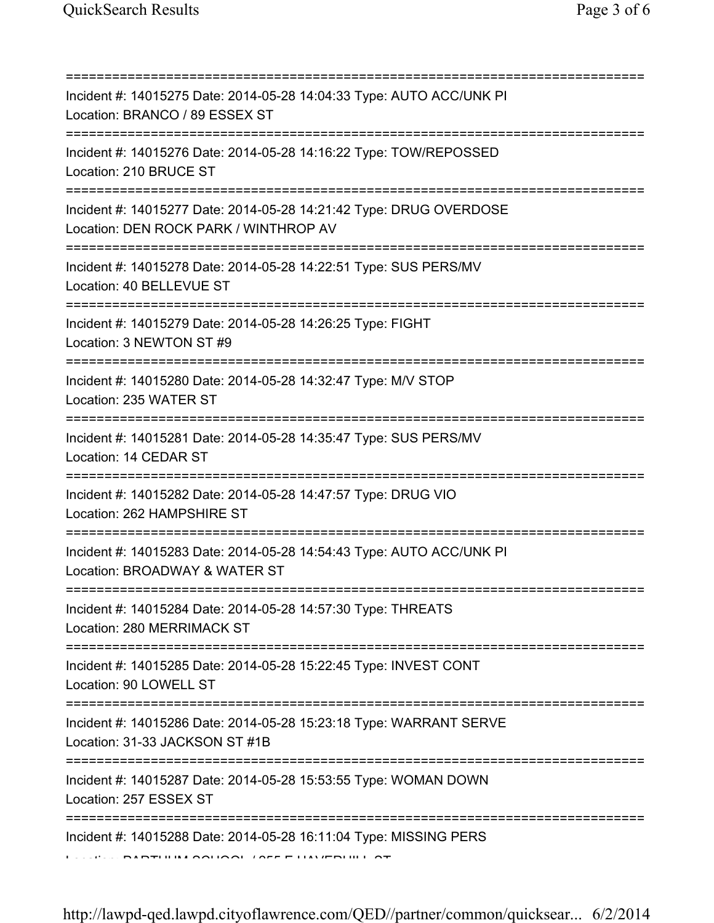| .=============================                                                                                                         |
|----------------------------------------------------------------------------------------------------------------------------------------|
| Incident #: 14015275 Date: 2014-05-28 14:04:33 Type: AUTO ACC/UNK PI<br>Location: BRANCO / 89 ESSEX ST                                 |
| Incident #: 14015276 Date: 2014-05-28 14:16:22 Type: TOW/REPOSSED<br>Location: 210 BRUCE ST<br>====================================    |
| Incident #: 14015277 Date: 2014-05-28 14:21:42 Type: DRUG OVERDOSE<br>Location: DEN ROCK PARK / WINTHROP AV                            |
| Incident #: 14015278 Date: 2014-05-28 14:22:51 Type: SUS PERS/MV<br>Location: 40 BELLEVUE ST<br>-------------------------------------- |
| Incident #: 14015279 Date: 2014-05-28 14:26:25 Type: FIGHT<br>Location: 3 NEWTON ST #9<br>;===================================         |
| Incident #: 14015280 Date: 2014-05-28 14:32:47 Type: M/V STOP<br>Location: 235 WATER ST                                                |
| ;===============================<br>Incident #: 14015281 Date: 2014-05-28 14:35:47 Type: SUS PERS/MV<br>Location: 14 CEDAR ST          |
| Incident #: 14015282 Date: 2014-05-28 14:47:57 Type: DRUG VIO<br>Location: 262 HAMPSHIRE ST                                            |
| Incident #: 14015283 Date: 2014-05-28 14:54:43 Type: AUTO ACC/UNK PI<br>Location: BROADWAY & WATER ST                                  |
| Incident #: 14015284 Date: 2014-05-28 14:57:30 Type: THREATS<br>Location: 280 MERRIMACK ST                                             |
| :======================<br>Incident #: 14015285 Date: 2014-05-28 15:22:45 Type: INVEST CONT<br>Location: 90 LOWELL ST                  |
| ========================<br>Incident #: 14015286 Date: 2014-05-28 15:23:18 Type: WARRANT SERVE<br>Location: 31-33 JACKSON ST #1B       |
| Incident #: 14015287 Date: 2014-05-28 15:53:55 Type: WOMAN DOWN<br>Location: 257 ESSEX ST                                              |
| Incident #: 14015288 Date: 2014-05-28 16:11:04 Type: MISSING PERS                                                                      |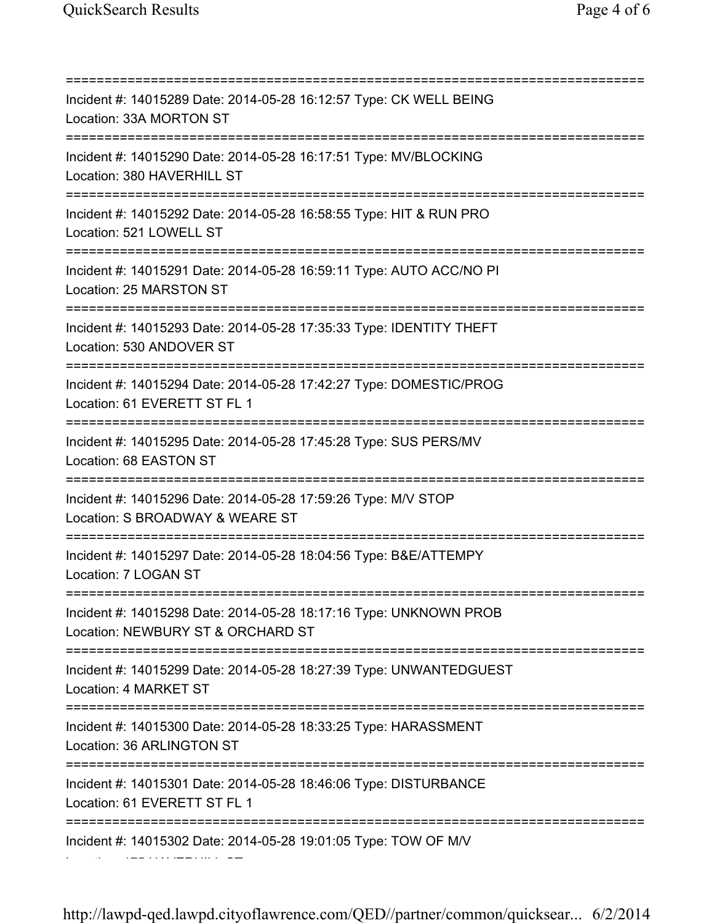=========================================================================== Incident #: 14015289 Date: 2014-05-28 16:12:57 Type: CK WELL BEING Location: 33A MORTON ST =========================================================================== Incident #: 14015290 Date: 2014-05-28 16:17:51 Type: MV/BLOCKING Location: 380 HAVERHILL ST =========================================================================== Incident #: 14015292 Date: 2014-05-28 16:58:55 Type: HIT & RUN PRO Location: 521 LOWELL ST =========================================================================== Incident #: 14015291 Date: 2014-05-28 16:59:11 Type: AUTO ACC/NO PI Location: 25 MARSTON ST =========================================================================== Incident #: 14015293 Date: 2014-05-28 17:35:33 Type: IDENTITY THEFT Location: 530 ANDOVER ST =========================================================================== Incident #: 14015294 Date: 2014-05-28 17:42:27 Type: DOMESTIC/PROG Location: 61 EVERETT ST FL 1 =========================================================================== Incident #: 14015295 Date: 2014-05-28 17:45:28 Type: SUS PERS/MV Location: 68 EASTON ST =========================================================================== Incident #: 14015296 Date: 2014-05-28 17:59:26 Type: M/V STOP Location: S BROADWAY & WEARE ST =========================================================================== Incident #: 14015297 Date: 2014-05-28 18:04:56 Type: B&E/ATTEMPY Location: 7 LOGAN ST =========================================================================== Incident #: 14015298 Date: 2014-05-28 18:17:16 Type: UNKNOWN PROB Location: NEWBURY ST & ORCHARD ST =========================================================================== Incident #: 14015299 Date: 2014-05-28 18:27:39 Type: UNWANTEDGUEST Location: 4 MARKET ST =========================================================================== Incident #: 14015300 Date: 2014-05-28 18:33:25 Type: HARASSMENT Location: 36 ARLINGTON ST =========================================================================== Incident #: 14015301 Date: 2014-05-28 18:46:06 Type: DISTURBANCE Location: 61 EVERETT ST FL 1 =========================================================================== Incident #: 14015302 Date: 2014-05-28 19:01:05 Type: TOW OF M/V Location: 175 HAVERHILL ST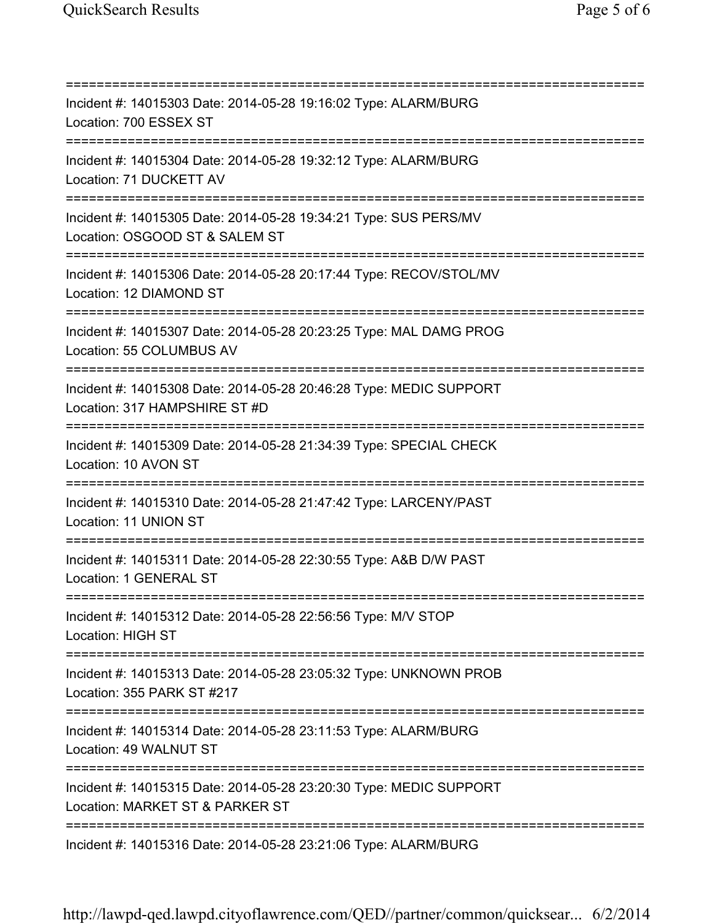=========================================================================== Incident #: 14015303 Date: 2014-05-28 19:16:02 Type: ALARM/BURG Location: 700 ESSEX ST =========================================================================== Incident #: 14015304 Date: 2014-05-28 19:32:12 Type: ALARM/BURG Location: 71 DUCKETT AV =========================================================================== Incident #: 14015305 Date: 2014-05-28 19:34:21 Type: SUS PERS/MV Location: OSGOOD ST & SALEM ST =========================================================================== Incident #: 14015306 Date: 2014-05-28 20:17:44 Type: RECOV/STOL/MV Location: 12 DIAMOND ST =========================================================================== Incident #: 14015307 Date: 2014-05-28 20:23:25 Type: MAL DAMG PROG Location: 55 COLUMBUS AV =========================================================================== Incident #: 14015308 Date: 2014-05-28 20:46:28 Type: MEDIC SUPPORT Location: 317 HAMPSHIRE ST #D =========================================================================== Incident #: 14015309 Date: 2014-05-28 21:34:39 Type: SPECIAL CHECK Location: 10 AVON ST =========================================================================== Incident #: 14015310 Date: 2014-05-28 21:47:42 Type: LARCENY/PAST Location: 11 UNION ST =========================================================================== Incident #: 14015311 Date: 2014-05-28 22:30:55 Type: A&B D/W PAST Location: 1 GENERAL ST =========================================================================== Incident #: 14015312 Date: 2014-05-28 22:56:56 Type: M/V STOP Location: HIGH ST =========================================================================== Incident #: 14015313 Date: 2014-05-28 23:05:32 Type: UNKNOWN PROB Location: 355 PARK ST #217 =========================================================================== Incident #: 14015314 Date: 2014-05-28 23:11:53 Type: ALARM/BURG Location: 49 WALNUT ST =========================================================================== Incident #: 14015315 Date: 2014-05-28 23:20:30 Type: MEDIC SUPPORT Location: MARKET ST & PARKER ST =========================================================================== Incident #: 14015316 Date: 2014-05-28 23:21:06 Type: ALARM/BURG